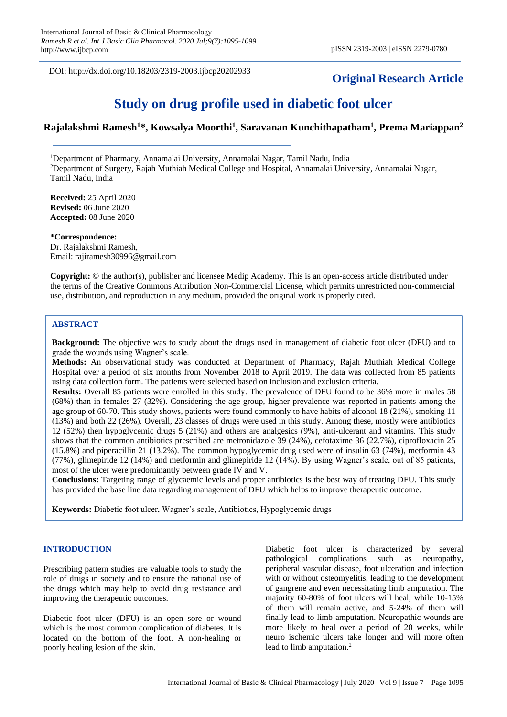DOI: http://dx.doi.org/10.18203/2319-2003.ijbcp20202933

## **Original Research Article**

# **Study on drug profile used in diabetic foot ulcer**

## **Rajalakshmi Ramesh<sup>1</sup>\*, Kowsalya Moorthi<sup>1</sup> , Saravanan Kunchithapatham<sup>1</sup> , Prema Mariappan<sup>2</sup>**

<sup>1</sup>Department of Pharmacy, Annamalai University, Annamalai Nagar, Tamil Nadu, India <sup>2</sup>Department of Surgery, Rajah Muthiah Medical College and Hospital, Annamalai University, Annamalai Nagar, Tamil Nadu, India

**Received:** 25 April 2020 **Revised:** 06 June 2020 **Accepted:** 08 June 2020

**\*Correspondence:** Dr. Rajalakshmi Ramesh, Email: rajiramesh30996@gmail.com

**Copyright:** © the author(s), publisher and licensee Medip Academy. This is an open-access article distributed under the terms of the Creative Commons Attribution Non-Commercial License, which permits unrestricted non-commercial use, distribution, and reproduction in any medium, provided the original work is properly cited.

## **ABSTRACT**

**Background:** The objective was to study about the drugs used in management of diabetic foot ulcer (DFU) and to grade the wounds using Wagner's scale.

**Methods:** An observational study was conducted at Department of Pharmacy, Rajah Muthiah Medical College Hospital over a period of six months from November 2018 to April 2019. The data was collected from 85 patients using data collection form. The patients were selected based on inclusion and exclusion criteria.

**Results:** Overall 85 patients were enrolled in this study. The prevalence of DFU found to be 36% more in males 58 (68%) than in females 27 (32%). Considering the age group, higher prevalence was reported in patients among the age group of 60-70. This study shows, patients were found commonly to have habits of alcohol 18 (21%), smoking 11 (13%) and both 22 (26%). Overall, 23 classes of drugs were used in this study. Among these, mostly were antibiotics 12 (52%) then hypoglycemic drugs 5 (21%) and others are analgesics (9%), anti-ulcerant and vitamins. This study shows that the common antibiotics prescribed are metronidazole 39 (24%), cefotaxime 36 (22.7%), ciprofloxacin 25 (15.8%) and piperacillin 21 (13.2%). The common hypoglycemic drug used were of insulin 63 (74%), metformin 43 (77%), glimepiride 12 (14%) and metformin and glimepiride 12 (14%). By using Wagner's scale, out of 85 patients, most of the ulcer were predominantly between grade IV and V.

**Conclusions:** Targeting range of glycaemic levels and proper antibiotics is the best way of treating DFU. This study has provided the base line data regarding management of DFU which helps to improve therapeutic outcome.

**Keywords:** Diabetic foot ulcer, Wagner's scale, Antibiotics, Hypoglycemic drugs

## **INTRODUCTION**

Prescribing pattern studies are valuable tools to study the role of drugs in society and to ensure the rational use of the drugs which may help to avoid drug resistance and improving the therapeutic outcomes.

Diabetic foot ulcer (DFU) is an open sore or wound which is the most common complication of diabetes. It is located on the bottom of the foot. A non-healing or poorly healing lesion of the skin.<sup>1</sup>

Diabetic foot ulcer is characterized by several pathological complications such as neuropathy, peripheral vascular disease, foot ulceration and infection with or without osteomyelitis, leading to the development of gangrene and even necessitating limb amputation. The majority 60-80% of foot ulcers will heal, while 10-15% of them will remain active, and 5-24% of them will finally lead to limb amputation. Neuropathic wounds are more likely to heal over a period of 20 weeks, while neuro ischemic ulcers take longer and will more often lead to limb amputation.<sup>2</sup>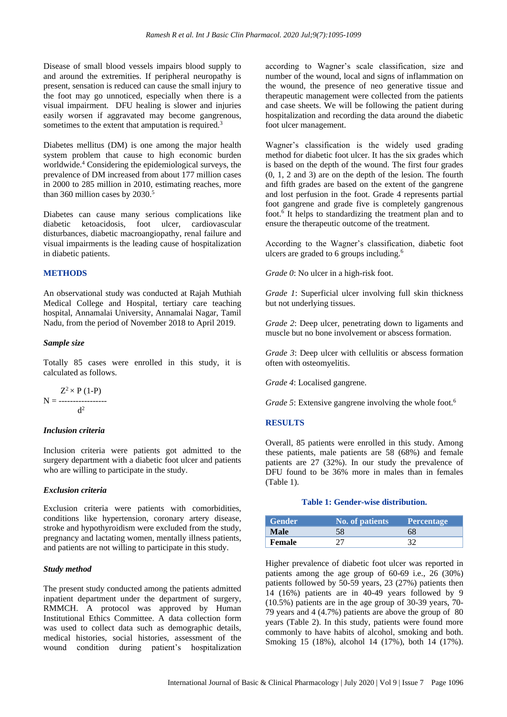Disease of small blood vessels impairs blood supply to and around the extremities. If peripheral neuropathy is present, sensation is reduced can cause the small injury to the foot may go unnoticed, especially when there is a visual impairment. DFU healing is slower and injuries easily worsen if aggravated may become gangrenous, sometimes to the extent that amputation is required.<sup>3</sup>

Diabetes mellitus (DM) is one among the major health system problem that cause to high economic burden worldwide.<sup>4</sup> Considering the epidemiological surveys, the prevalence of DM increased from about 177 million cases in 2000 to 285 million in 2010, estimating reaches, more than 360 million cases by 2030.<sup>5</sup>

Diabetes can cause many serious complications like diabetic ketoacidosis, foot ulcer, cardiovascular disturbances, diabetic macroangiopathy, renal failure and visual impairments is the leading cause of hospitalization in diabetic patients.

## **METHODS**

An observational study was conducted at Rajah Muthiah Medical College and Hospital, tertiary care teaching hospital, Annamalai University, Annamalai Nagar, Tamil Nadu, from the period of November 2018 to April 2019.

## *Sample size*

Totally 85 cases were enrolled in this study, it is calculated as follows.

$$
N = \frac{Z^2 \times P (1-P)}{d^2}
$$

#### *Inclusion criteria*

Inclusion criteria were patients got admitted to the surgery department with a diabetic foot ulcer and patients who are willing to participate in the study.

## *Exclusion criteria*

Exclusion criteria were patients with comorbidities, conditions like hypertension, coronary artery disease, stroke and hypothyroidism were excluded from the study, pregnancy and lactating women, mentally illness patients, and patients are not willing to participate in this study.

## *Study method*

The present study conducted among the patients admitted inpatient department under the department of surgery, RMMCH. A protocol was approved by Human Institutional Ethics Committee. A data collection form was used to collect data such as demographic details, medical histories, social histories, assessment of the wound condition during patient's hospitalization according to Wagner's scale classification, size and number of the wound, local and signs of inflammation on the wound, the presence of neo generative tissue and therapeutic management were collected from the patients and case sheets. We will be following the patient during hospitalization and recording the data around the diabetic foot ulcer management.

Wagner's classification is the widely used grading method for diabetic foot ulcer. It has the six grades which is based on the depth of the wound. The first four grades (0, 1, 2 and 3) are on the depth of the lesion. The fourth and fifth grades are based on the extent of the gangrene and lost perfusion in the foot. Grade 4 represents partial foot gangrene and grade five is completely gangrenous foot.<sup>6</sup> It helps to standardizing the treatment plan and to ensure the therapeutic outcome of the treatment.

According to the Wagner's classification, diabetic foot ulcers are graded to 6 groups including.<sup>6</sup>

*Grade 0*: No ulcer in a high-risk foot.

*Grade 1*: Superficial ulcer involving full skin thickness but not underlying tissues.

*Grade 2*: Deep ulcer, penetrating down to ligaments and muscle but no bone involvement or abscess formation.

*Grade 3*: Deep ulcer with cellulitis or abscess formation often with osteomyelitis.

*Grade 4*: Localised gangrene.

*Grade 5*: Extensive gangrene involving the whole foot.<sup>6</sup>

#### **RESULTS**

Overall, 85 patients were enrolled in this study. Among these patients, male patients are 58 (68%) and female patients are 27 (32%). In our study the prevalence of DFU found to be 36% more in males than in females (Table 1).

#### **Table 1: Gender-wise distribution.**

| <b>Gender</b> | <b>No. of patients</b> | <b>Percentage</b> |
|---------------|------------------------|-------------------|
| Male          | 58                     | 68                |
| Female        |                        |                   |

Higher prevalence of diabetic foot ulcer was reported in patients among the age group of 60-69 i.e., 26 (30%) patients followed by 50-59 years, 23 (27%) patients then 14 (16%) patients are in 40-49 years followed by 9 (10.5%) patients are in the age group of 30-39 years, 70- 79 years and 4 (4.7%) patients are above the group of 80 years (Table 2). In this study, patients were found more commonly to have habits of alcohol, smoking and both. Smoking 15 (18%), alcohol 14 (17%), both 14 (17%).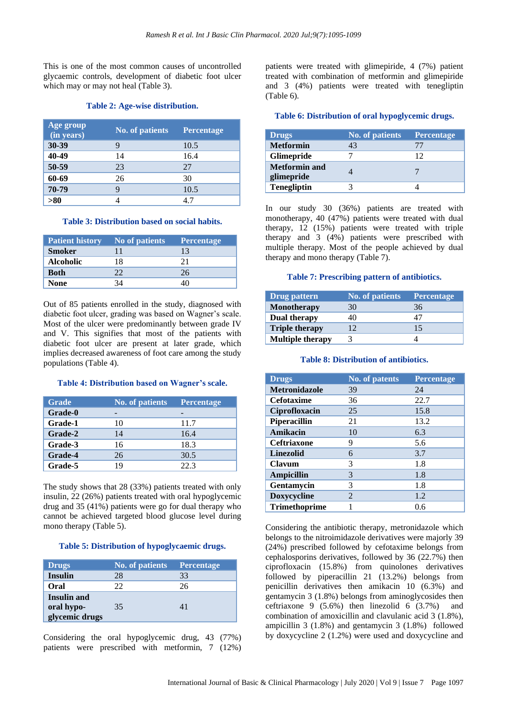This is one of the most common causes of uncontrolled glycaemic controls, development of diabetic foot ulcer which may or may not heal (Table 3).

## **Table 2: Age-wise distribution.**

| Age group<br>(in years) | <b>No. of patients</b> | <b>Percentage</b> |
|-------------------------|------------------------|-------------------|
| 30-39                   | 9                      | 10.5              |
| 40-49                   | 14                     | 16.4              |
| 50-59                   | 23                     | 27                |
| 60-69                   | 26                     | 30                |
| 70-79                   | q                      | 10.5              |
| >80                     |                        |                   |

#### **Table 3: Distribution based on social habits.**

| <b>Patient history</b> | No of patients | <b>Percentage</b> |
|------------------------|----------------|-------------------|
| <b>Smoker</b>          |                | 13                |
| <b>Alcoholic</b>       | 18             | 21                |
| <b>Both</b>            |                | 26                |
| None                   |                |                   |

Out of 85 patients enrolled in the study, diagnosed with diabetic foot ulcer, grading was based on Wagner's scale. Most of the ulcer were predominantly between grade IV and V. This signifies that most of the patients with diabetic foot ulcer are present at later grade, which implies decreased awareness of foot care among the study populations (Table 4).

#### **Table 4: Distribution based on Wagner's scale.**

| <b>Grade</b> | <b>No. of patients</b> | <b>Percentage</b> |
|--------------|------------------------|-------------------|
| Grade-0      |                        |                   |
| Grade-1      | 10                     | 11.7              |
| Grade-2      | 14                     | 16.4              |
| Grade-3      | 16                     | 18.3              |
| Grade-4      | 26                     | 30.5              |
| Grade-5      | 19                     | 22.3              |

The study shows that 28 (33%) patients treated with only insulin, 22 (26%) patients treated with oral hypoglycemic drug and 35 (41%) patients were go for dual therapy who cannot be achieved targeted blood glucose level during mono therapy (Table 5).

### **Table 5: Distribution of hypoglycaemic drugs.**

| <b>Drugs</b>                                       | <b>No. of patients</b> | <b>Percentage</b> |
|----------------------------------------------------|------------------------|-------------------|
| <b>Insulin</b>                                     | 28                     | 33                |
| Oral                                               | 22                     | 26                |
| <b>Insulin and</b><br>oral hypo-<br>glycemic drugs | 35                     |                   |

Considering the oral hypoglycemic drug, 43 (77%) patients were prescribed with metformin, 7 (12%) patients were treated with glimepiride, 4 (7%) patient treated with combination of metformin and glimepiride and 3 (4%) patients were treated with tenegliptin (Table 6).

### **Table 6: Distribution of oral hypoglycemic drugs.**

| <b>Drugs</b>                       | No. of patients | <b>Percentage</b> |
|------------------------------------|-----------------|-------------------|
| <b>Metformin</b>                   | 43              |                   |
| <b>Glimepride</b>                  |                 | 12                |
| <b>Metformin and</b><br>glimepride |                 |                   |
| <b>Tenegliptin</b>                 |                 |                   |

In our study 30 (36%) patients are treated with monotherapy, 40 (47%) patients were treated with dual therapy, 12 (15%) patients were treated with triple therapy and 3 (4%) patients were prescribed with multiple therapy. Most of the people achieved by dual therapy and mono therapy (Table 7).

## **Table 7: Prescribing pattern of antibiotics.**

| Drug pattern            | <b>No. of patients</b> | Percentage |
|-------------------------|------------------------|------------|
| <b>Monotherapy</b>      | 30                     | 36         |
| Dual therapy            |                        | 47         |
| <b>Triple therapy</b>   |                        | 15         |
| <b>Multiple therapy</b> |                        |            |

## **Table 8: Distribution of antibiotics.**

| <b>Drugs</b>         | <b>No. of patents</b> | <b>Percentage</b> |
|----------------------|-----------------------|-------------------|
| <b>Metronidazole</b> | 39                    | 24                |
| <b>Cefotaxime</b>    | 36                    | 22.7              |
| Ciprofloxacin        | 25                    | 15.8              |
| Piperacillin         | 21                    | 13.2              |
| Amikacin             | 10                    | 6.3               |
| <b>Ceftriaxone</b>   | 9                     | 5.6               |
| <b>Linezolid</b>     | 6                     | 3.7               |
| <b>Clavum</b>        | 3                     | 1.8               |
| <b>Ampicillin</b>    | 3                     | 1.8               |
| Gentamycin           | 3                     | 1.8               |
| <b>Doxycycline</b>   | 2                     | 1.2               |
| <b>Trimethoprime</b> |                       | 0.6               |

Considering the antibiotic therapy, metronidazole which belongs to the nitroimidazole derivatives were majorly 39 (24%) prescribed followed by cefotaxime belongs from cephalosporins derivatives, followed by 36 (22.7%) then ciprofloxacin (15.8%) from quinolones derivatives followed by piperacillin 21 (13.2%) belongs from penicillin derivatives then amikacin 10 (6.3%) and gentamycin 3 (1.8%) belongs from aminoglycosides then ceftriaxone 9  $(5.6\%)$  then linezolid 6  $(3.7\%)$  and combination of amoxicillin and clavulanic acid 3 (1.8%), ampicillin 3 (1.8%) and gentamycin 3 (1.8%) followed by doxycycline 2 (1.2%) were used and doxycycline and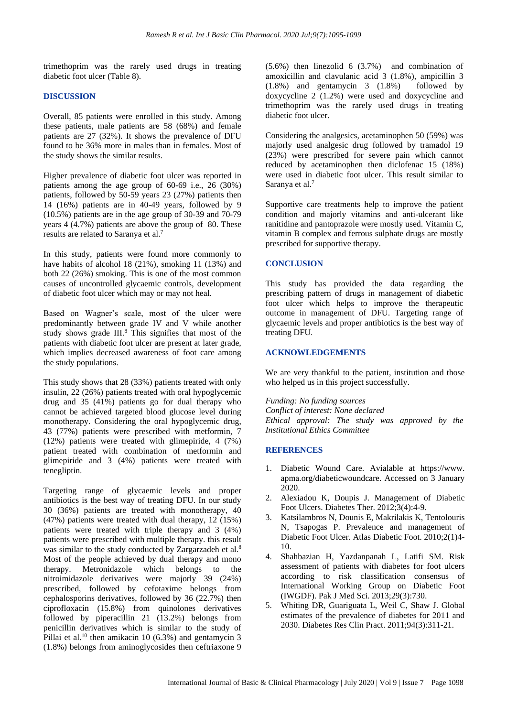trimethoprim was the rarely used drugs in treating diabetic foot ulcer (Table 8).

## **DISCUSSION**

Overall, 85 patients were enrolled in this study. Among these patients, male patients are 58 (68%) and female patients are 27 (32%). It shows the prevalence of DFU found to be 36% more in males than in females. Most of the study shows the similar results.

Higher prevalence of diabetic foot ulcer was reported in patients among the age group of 60-69 i.e., 26 (30%) patients, followed by 50-59 years 23 (27%) patients then 14 (16%) patients are in 40-49 years, followed by 9 (10.5%) patients are in the age group of 30-39 and 70-79 years 4 (4.7%) patients are above the group of 80. These results are related to Saranya et al.<sup>7</sup>

In this study, patients were found more commonly to have habits of alcohol 18 (21%), smoking 11 (13%) and both 22 (26%) smoking. This is one of the most common causes of uncontrolled glycaemic controls, development of diabetic foot ulcer which may or may not heal.

Based on Wagner's scale, most of the ulcer were predominantly between grade IV and V while another study shows grade III.<sup>8</sup> This signifies that most of the patients with diabetic foot ulcer are present at later grade, which implies decreased awareness of foot care among the study populations.

This study shows that 28 (33%) patients treated with only insulin, 22 (26%) patients treated with oral hypoglycemic drug and 35 (41%) patients go for dual therapy who cannot be achieved targeted blood glucose level during monotherapy. Considering the oral hypoglycemic drug, 43 (77%) patients were prescribed with metformin, 7 (12%) patients were treated with glimepiride, 4 (7%) patient treated with combination of metformin and glimepiride and 3 (4%) patients were treated with tenegliptin.

Targeting range of glycaemic levels and proper antibiotics is the best way of treating DFU. In our study 30 (36%) patients are treated with monotherapy, 40 (47%) patients were treated with dual therapy, 12 (15%) patients were treated with triple therapy and 3 (4%) patients were prescribed with multiple therapy. this result was similar to the study conducted by Zargarzadeh et al.<sup>8</sup> Most of the people achieved by dual therapy and mono therapy. Metronidazole which belongs to the nitroimidazole derivatives were majorly 39 (24%) prescribed, followed by cefotaxime belongs from cephalosporins derivatives, followed by 36 (22.7%) then ciprofloxacin (15.8%) from quinolones derivatives followed by piperacillin 21 (13.2%) belongs from penicillin derivatives which is similar to the study of Pillai et al.<sup>10</sup> then amikacin 10 (6.3%) and gentamycin 3 (1.8%) belongs from aminoglycosides then ceftriaxone 9 (5.6%) then linezolid 6 (3.7%) and combination of amoxicillin and clavulanic acid 3 (1.8%), ampicillin 3 (1.8%) and gentamycin 3 (1.8%) followed by doxycycline 2 (1.2%) were used and doxycycline and trimethoprim was the rarely used drugs in treating diabetic foot ulcer.

Considering the analgesics, acetaminophen 50 (59%) was majorly used analgesic drug followed by tramadol 19 (23%) were prescribed for severe pain which cannot reduced by acetaminophen then diclofenac 15 (18%) were used in diabetic foot ulcer. This result similar to Saranya et al.<sup>7</sup>

Supportive care treatments help to improve the patient condition and majorly vitamins and anti-ulcerant like ranitidine and pantoprazole were mostly used. Vitamin C, vitamin B complex and ferrous sulphate drugs are mostly prescribed for supportive therapy.

## **CONCLUSION**

This study has provided the data regarding the prescribing pattern of drugs in management of diabetic foot ulcer which helps to improve the therapeutic outcome in management of DFU. Targeting range of glycaemic levels and proper antibiotics is the best way of treating DFU.

## **ACKNOWLEDGEMENTS**

We are very thankful to the patient, institution and those who helped us in this project successfully.

## *Funding: No funding sources*

*Conflict of interest: None declared Ethical approval: The study was approved by the Institutional Ethics Committee*

## **REFERENCES**

- 1. Diabetic Wound Care. Avialable at https://www. apma.org/diabeticwoundcare. Accessed on 3 January 2020.
- 2. Alexiadou K, Doupis J. Management of Diabetic Foot Ulcers. Diabetes Ther. 2012;3(4):4-9.
- 3. Katsilambros N, Dounis E, Makrilakis K, Tentolouris N, Tsapogas P. Prevalence and management of Diabetic Foot Ulcer. Atlas Diabetic Foot. 2010;2(1)4- 10.
- 4. Shahbazian H, Yazdanpanah L, Latifi SM. Risk assessment of patients with diabetes for foot ulcers according to risk classification consensus of International Working Group on Diabetic Foot (IWGDF). Pak J Med Sci. 2013;29(3):730.
- 5. Whiting DR, Guariguata L, Weil C, Shaw J. Global estimates of the prevalence of diabetes for 2011 and 2030. Diabetes Res Clin Pract. 2011;94(3):311-21.